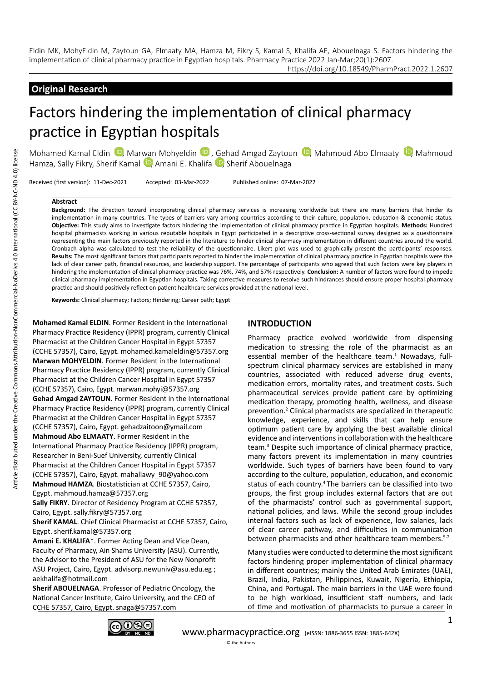https://doi.org/10.18549/PharmPract.2022.1.2607

## **Original Research**

# Factors hindering the implementation of clinical pharmacy practice in Egyptian hospitals

Mohamed Kamal Eldin  $\mathbb D$ [,](https://orcid.org/0000-0003-0357-7035) Marwan Mohyeldin  $\mathbb D$ , Gehad Amgad Zaytoun  $\mathbb D$ , Mahmoud Abo Elmaaty  $\mathbb D$ , Mahmoud Hamza, Sally Fikry, Sherif Kamal **D**, Amani E. Khalifa **D**, Sherif Abouelnaga

Received (first version): 11-Dec-2021 Accepted: 03-Mar-2022 Published online: 07-Mar-2022

#### **Abstract**

**Background:** The direction toward incorporating clinical pharmacy services is increasing worldwide but there are many barriers that hinder its implementation in many countries. The types of barriers vary among countries according to their culture, population, education & economic status. **Objective:** This study aims to investigate factors hindering the implementation of clinical pharmacy practice in Egyptian hospitals. **Methods:** Hundred hospital pharmacists working in various reputable hospitals in Egypt participated in a descriptive cross-sectional survey designed as a questionnaire representing the main factors previously reported in the literature to hinder clinical pharmacy implementation in different countries around the world. Cronbach alpha was calculated to test the reliability of the questionnaire. Likert plot was used to graphically present the participants' responses. **Results:** The most significant factors that participants reported to hinder the implementation of clinical pharmacy practice in Egyptian hospitals were the lack of clear career path, financial resources, and leadership support. The percentage of participants who agreed that such factors were key players in hindering the implementation of clinical pharmacy practice was 76%, 74%, and 57% respectively. **Conclusion:** A number of factors were found to impede clinical pharmacy implementation in Egyptian hospitals. Taking corrective measures to resolve such hindrances should ensure proper hospital pharmacy practice and should positively reflect on patient healthcare services provided at the national level.

**Keywords:** Clinical pharmacy; Factors; Hindering; Career path; Egypt

**Mohamed Kamal ELDIN**. Former Resident in the International Pharmacy Practice Residency (IPPR) program, currently Clinical Pharmacist at the Children Cancer Hospital in Egypt 57357 (CCHE 57357), Cairo, Egypt. mohamed.kamaleldin@57357.org **Marwan MOHYELDIN**. Former Resident in the International Pharmacy Practice Residency (IPPR) program, currently Clinical Pharmacist at the Children Cancer Hospital in Egypt 57357 (CCHE 57357), Cairo, Egypt. marwan.mohyi@57357.org **Gehad Amgad ZAYTOUN**. Former Resident in the International Pharmacy Practice Residency (IPPR) program, currently Clinical Pharmacist at the Children Cancer Hospital in Egypt 57357 (CCHE 57357), Cairo, Egypt. gehadzaitoon@ymail.com **Mahmoud Abo ELMAATY**. Former Resident in the International Pharmacy Practice Residency (IPPR) program, Researcher in Beni-Suef University, currently Clinical Pharmacist at the Children Cancer Hospital in Egypt 57357 (CCHE 57357), Cairo, Egypt. mahallawy\_90@yahoo.com **Mahmoud HAMZA**. Biostatistician at CCHE 57357, Cairo,

# Egypt. mahmoud.hamza@57357.org

**Sally FIKRY**. Director of Residency Program at CCHE 57357, Cairo, Egypt. sally.fikry@57357.org

**Sherif KAMAL**. Chief Clinical Pharmacist at CCHE 57357, Cairo, Egypt. sherif.kamal@57357.org

**Amani E. KHALIFA**\*. Former Acting Dean and Vice Dean, Faculty of Pharmacy, Ain Shams University (ASU). Currently, the Advisor to the President of ASU for the New Nonprofit ASU Project, Cairo, Egypt. advisorp.newuniv@asu.edu.eg ; aekhalifa@hotmail.com

**Sherif ABOUELNAGA**. Professor of Pediatric Oncology, the National Cancer Institute, Cairo University, and the CEO of CCHE 57357, Cairo, Egypt. snaga@57357.com

#### **INTRODUCTION**

Pharmacy practice evolved worldwide from dispensing medication to stressing the role of the pharmacist as an essential member of the healthcare team.<sup>1</sup> Nowadays, fullspectrum clinical pharmacy services are established in many countries, associated with reduced adverse drug events, medication errors, mortality rates, and treatment costs. Such pharmaceutical services provide patient care by optimizing medication therapy, promoting health, wellness, and disease prevention.<sup>2</sup> Clinical pharmacists are specialized in therapeutic knowledge, experience, and skills that can help ensure optimum patient care by applying the best available clinical evidence and interventions in collaboration with the healthcare team.3 Despite such importance of clinical pharmacy practice, many factors prevent its implementation in many countries worldwide. Such types of barriers have been found to vary according to the culture, population, education, and economic status of each country.<sup>4</sup> The barriers can be classified into two groups, the first group includes external factors that are out of the pharmacists' control such as governmental support, national policies, and laws. While the second group includes internal factors such as lack of experience, low salaries, lack of clear career pathway, and difficulties in communication between pharmacists and other healthcare team members.<sup>5-7</sup>

Many studies were conducted to determine the most significant factors hindering proper implementation of clinical pharmacy in different countries; mainly the United Arab Emirates (UAE), Brazil, India, Pakistan, Philippines, Kuwait, Nigeria, Ethiopia, China, and Portugal. The main barriers in the UAE were found to be high workload, insufficient staff numbers, and lack of time and motivation of pharmacists to pursue a career in

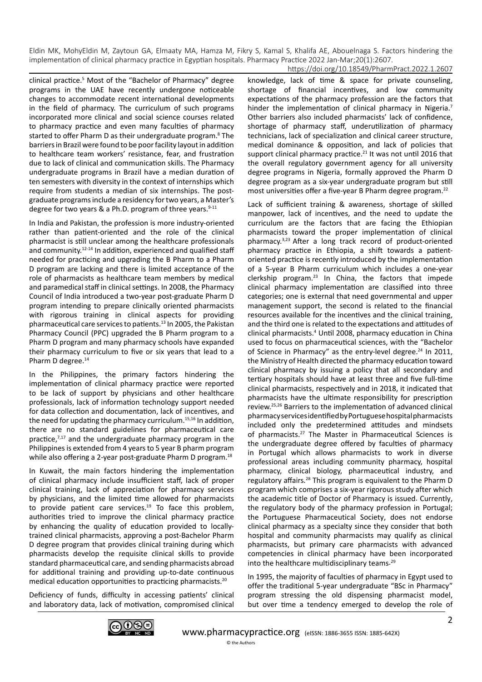clinical practice.5 Most of the "Bachelor of Pharmacy" degree programs in the UAE have recently undergone noticeable changes to accommodate recent international developments in the field of pharmacy. The curriculum of such programs incorporated more clinical and social science courses related to pharmacy practice and even many faculties of pharmacy started to offer Pharm D as their undergraduate program.<sup>8</sup> The barriers in Brazil were found to be poor facility layout in addition to healthcare team workers' resistance, fear, and frustration due to lack of clinical and communication skills. The Pharmacy undergraduate programs in Brazil have a median duration of ten semesters with diversity in the context of internships which require from students a median of six internships. The postgraduate programs include a residency for two years, a Master's degree for two years & a Ph.D. program of three years. $9-11$ 

In India and Pakistan, the profession is more industry-oriented rather than patient-oriented and the role of the clinical pharmacist is still unclear among the healthcare professionals and community.<sup>12-14</sup> In addition, experienced and qualified staff needed for practicing and upgrading the B Pharm to a Pharm D program are lacking and there is limited acceptance of the role of pharmacists as healthcare team members by medical and paramedical staff in clinical settings. In 2008, the Pharmacy Council of India introduced a two-year post-graduate Pharm D program intending to prepare clinically oriented pharmacists with rigorous training in clinical aspects for providing pharmaceutical care services to patients.13 In 2005, the Pakistan Pharmacy Council (PPC) upgraded the B Pharm program to a Pharm D program and many pharmacy schools have expanded their pharmacy curriculum to five or six years that lead to a Pharm D degree.<sup>14</sup>

In the Philippines, the primary factors hindering the implementation of clinical pharmacy practice were reported to be lack of support by physicians and other healthcare professionals, lack of information technology support needed for data collection and documentation, lack of incentives, and the need for updating the pharmacy curriculum.<sup>15,16</sup> In addition, there are no standard guidelines for pharmaceutical care practice, $7,17$  and the undergraduate pharmacy program in the Philippines is extended from 4 years to 5 year B pharm program while also offering a 2-year post-graduate Pharm D program.<sup>18</sup>

In Kuwait, the main factors hindering the implementation of clinical pharmacy include insufficient staff, lack of proper clinical training, lack of appreciation for pharmacy services by physicians, and the limited time allowed for pharmacists to provide patient care services. $19$  To face this problem, authorities tried to improve the clinical pharmacy practice by enhancing the quality of education provided to locallytrained clinical pharmacists, approving a post-Bachelor Pharm D degree program that provides clinical training during which pharmacists develop the requisite clinical skills to provide standard pharmaceutical care, and sending pharmacists abroad for additional training and providing up-to-date continuous medical education opportunities to practicing pharmacists.20

Deficiency of funds, difficulty in accessing patients' clinical and laboratory data, lack of motivation, compromised clinical

knowledge, lack of time & space for private counseling, shortage of financial incentives, and low community expectations of the pharmacy profession are the factors that hinder the implementation of clinical pharmacy in Nigeria.<sup>7</sup> Other barriers also included pharmacists' lack of confidence, shortage of pharmacy staff, underutilization of pharmacy technicians, lack of specialization and clinical career structure, medical dominance & opposition, and lack of policies that support clinical pharmacy practice.<sup>21</sup> It was not until 2016 that the overall regulatory government agency for all university degree programs in Nigeria, formally approved the Pharm D degree program as a six-year undergraduate program but still most universities offer a five-year B Pharm degree program.<sup>22</sup>

Lack of sufficient training & awareness, shortage of skilled manpower, lack of incentives, and the need to update the curriculum are the factors that are facing the Ethiopian pharmacists toward the proper implementation of clinical pharmacy.3,23 After a long track record of product-oriented pharmacy practice in Ethiopia, a shift towards a patientoriented practice is recently introduced by the implementation of a 5-year B Pharm curriculum which includes a one-year clerkship program.23 In China, the factors that impede clinical pharmacy implementation are classified into three categories; one is external that need governmental and upper management support, the second is related to the financial resources available for the incentives and the clinical training, and the third one is related to the expectations and attitudes of clinical pharmacists.<sup>4</sup> Until 2008, pharmacy education in China used to focus on pharmaceutical sciences, with the "Bachelor of Science in Pharmacy" as the entry-level degree.<sup>24</sup> In 2011, the Ministry of Health directed the pharmacy education toward clinical pharmacy by issuing a policy that all secondary and tertiary hospitals should have at least three and five full-time clinical pharmacists, respectively and in 2018, it indicated that pharmacists have the ultimate responsibility for prescription review.25,26 Barriers to the implementation of advanced clinical pharmacy services identified by Portuguese hospital pharmacists included only the predetermined attitudes and mindsets of pharmacists.27 The Master in Pharmaceutical Sciences is the undergraduate degree offered by faculties of pharmacy in Portugal which allows pharmacists to work in diverse professional areas including community pharmacy, hospital pharmacy, clinical biology, pharmaceutical industry, and regulatory affairs.<sup>28</sup> This program is equivalent to the Pharm D program which comprises a six-year rigorous study after which the academic title of Doctor of Pharmacy is issued. Currently, the regulatory body of the pharmacy profession in Portugal; the Portuguese Pharmaceutical Society, does not endorse clinical pharmacy as a specialty since they consider that both hospital and community pharmacists may qualify as clinical pharmacists, but primary care pharmacists with advanced competencies in clinical pharmacy have been incorporated into the healthcare multidisciplinary teams.<sup>29</sup>

In 1995, the majority of faculties of pharmacy in Egypt used to offer the traditional 5-year undergraduate "BSc in Pharmacy" program stressing the old dispensing pharmacist model, but over time a tendency emerged to develop the role of

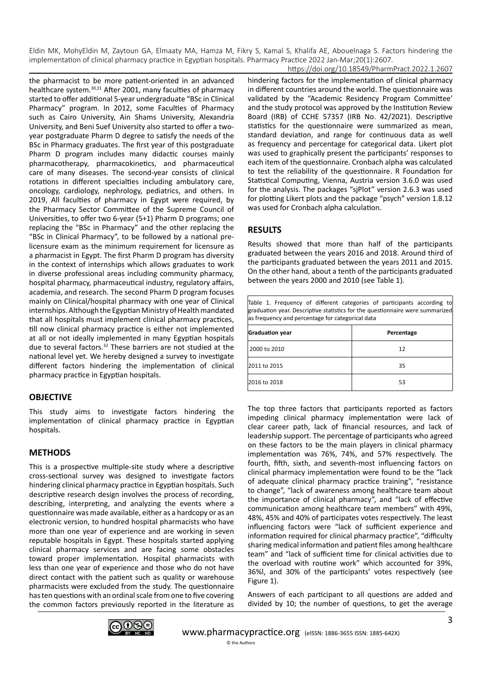the pharmacist to be more patient-oriented in an advanced healthcare system.<sup>30,31</sup> After 2001, many faculties of pharmacy started to offer additional 5-year undergraduate "BSc in Clinical Pharmacy" program. In 2012, some Faculties of Pharmacy such as Cairo University, Ain Shams University, Alexandria University, and Beni Suef University also started to offer a twoyear postgraduate Pharm D degree to satisfy the needs of the BSc in Pharmacy graduates. The first year of this postgraduate Pharm D program includes many didactic courses mainly pharmacotherapy, pharmacokinetics, and pharmaceutical care of many diseases. The second-year consists of clinical rotations in different specialties including ambulatory care, oncology, cardiology, nephrology, pediatrics, and others. In 2019, All faculties of pharmacy in Egypt were required, by the Pharmacy Sector Committee of the Supreme Council of Universities, to offer two 6-year (5+1) Pharm D programs; one replacing the "BSc in Pharmacy" and the other replacing the "BSc in Clinical Pharmacy", to be followed by a national prelicensure exam as the minimum requirement for licensure as a pharmacist in Egypt. The first Pharm D program has diversity in the context of internships which allows graduates to work in diverse professional areas including community pharmacy, hospital pharmacy, pharmaceutical industry, regulatory affairs, academia, and research. The second Pharm D program focuses mainly on Clinical/hospital pharmacy with one year of Clinical internships. Although the Egyptian Ministry of Health mandated that all hospitals must implement clinical pharmacy practices, till now clinical pharmacy practice is either not implemented at all or not ideally implemented in many Egyptian hospitals due to several factors.32 These barriers are not studied at the national level yet. We hereby designed a survey to investigate different factors hindering the implementation of clinical pharmacy practice in Egyptian hospitals.

#### **OBJECTIVE**

This study aims to investigate factors hindering the implementation of clinical pharmacy practice in Egyptian hospitals.

#### **METHODS**

This is a prospective multiple-site study where a descriptive cross-sectional survey was designed to investigate factors hindering clinical pharmacy practice in Egyptian hospitals. Such descriptive research design involves the process of recording, describing, interpreting, and analyzing the events where a questionnaire was made available, either as a hardcopy or as an electronic version, to hundred hospital pharmacists who have more than one year of experience and are working in seven reputable hospitals in Egypt. These hospitals started applying clinical pharmacy services and are facing some obstacles toward proper implementation. Hospital pharmacists with less than one year of experience and those who do not have direct contact with the patient such as quality or warehouse pharmacists were excluded from the study. The questionnaire has ten questions with an ordinal scale from one to five covering the common factors previously reported in the literature as

hindering factors for the implementation of clinical pharmacy in different countries around the world. The questionnaire was validated by the "Academic Residency Program Committee' and the study protocol was approved by the Institution Review Board (IRB) of CCHE 57357 (IRB No. 42/2021). Descriptive statistics for the questionnaire were summarized as mean, standard deviation, and range for continuous data as well as frequency and percentage for categorical data. Likert plot was used to graphically present the participants' responses to each item of the questionnaire. Cronbach alpha was calculated to test the reliability of the questionnaire. R Foundation for Statistical Computing, Vienna, Austria version 3.6.0 was used for the analysis. The packages "sjPlot" version 2.6.3 was used for plotting Likert plots and the package "psych" version 1.8.12 was used for Cronbach alpha calculation.

#### **RESULTS**

Results showed that more than half of the participants graduated between the years 2016 and 2018. Around third of the participants graduated between the years 2011 and 2015. On the other hand, about a tenth of the participants graduated between the years 2000 and 2010 (see Table 1).

Table 1. Frequency of different categories of participants according to graduation year. Descriptive statistics for the questionnaire were summarized as frequency and percentage for categorical data

| <b>Graduation year</b> | Percentage |  |
|------------------------|------------|--|
| 2000 to 2010           | 12         |  |
| 2011 to 2015           | 35         |  |
| 2016 to 2018           | 53         |  |

The top three factors that participants reported as factors impeding clinical pharmacy implementation were lack of clear career path, lack of financial resources, and lack of leadership support. The percentage of participants who agreed on these factors to be the main players in clinical pharmacy implementation was 76%, 74%, and 57% respectively. The fourth, fifth, sixth, and seventh-most influencing factors on clinical pharmacy implementation were found to be the "lack of adequate clinical pharmacy practice training", "resistance to change", "lack of awareness among healthcare team about the importance of clinical pharmacy", and "lack of effective communication among healthcare team members" with 49%, 48%, 45% and 40% of participates votes respectively. The least influencing factors were "lack of sufficient experience and information required for clinical pharmacy practice", "difficulty sharing medical information and patient files among healthcare team" and "lack of sufficient time for clinical activities due to the overload with routine work" which accounted for 39%, 36%l, and 30% of the participants' votes respectively (see Figure 1).

Answers of each participant to all questions are added and divided by 10; the number of questions, to get the average

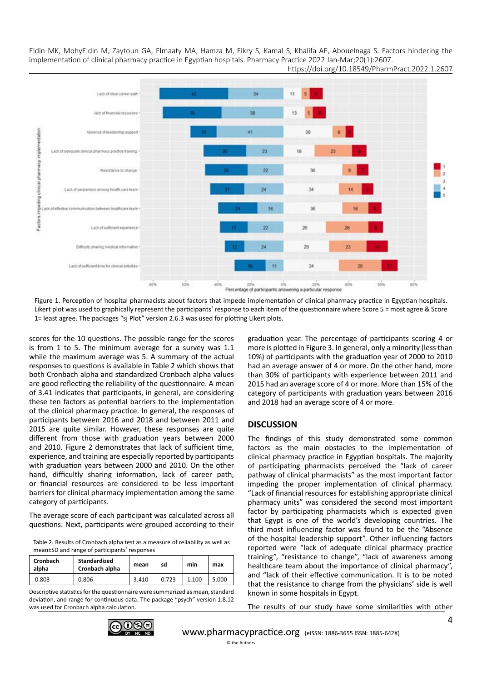

Figure 1. Perception of hospital pharmacists about factors that impede implementation of clinical pharmacy practice in Egyptian hospitals. Likert plot was used to graphically represent the participants' response to each item of the questionnaire where Score 5 = most agree & Score 1= least agree. The packages "sj Plot" version 2.6.3 was used for plotting Likert plots.

scores for the 10 questions. The possible range for the scores is from 1 to 5. The minimum average for a survey was 1.1 while the maximum average was 5. A summary of the actual responses to questions is available in Table 2 which shows that both Cronbach alpha and standardized Cronbach alpha values are good reflecting the reliability of the questionnaire. A mean of 3.41 indicates that participants, in general, are considering these ten factors as potential barriers to the implementation of the clinical pharmacy practice. In general, the responses of participants between 2016 and 2018 and between 2011 and 2015 are quite similar. However, these responses are quite different from those with graduation years between 2000 and 2010. Figure 2 demonstrates that lack of sufficient time, experience, and training are especially reported by participants with graduation years between 2000 and 2010. On the other hand, difficultly sharing information, lack of career path, or financial resources are considered to be less important barriers for clinical pharmacy implementation among the same category of participants.

The average score of each participant was calculated across all questions. Next, participants were grouped according to their

Table 2. Results of Cronbach alpha test as a measure of reliability as well as mean±SD and range of participants' responses

| <b>Cronbach</b><br>alpha | Standardized<br>Cronbach alpha | mean  | sd    | min   | max   |
|--------------------------|--------------------------------|-------|-------|-------|-------|
| 0.803                    | 0.806                          | 3.410 | 0.723 | 1.100 | 5.000 |

Descriptive statistics for the questionnaire were summarized as mean, standard deviation, and range for continuous data. The package "psych" version 1.8.12 was used for Cronbach alpha calculation.

graduation year. The percentage of participants scoring 4 or more is plotted in Figure 3. In general, only a minority (less than 10%) of participants with the graduation year of 2000 to 2010 had an average answer of 4 or more. On the other hand, more than 30% of participants with experience between 2011 and 2015 had an average score of 4 or more. More than 15% of the category of participants with graduation years between 2016 and 2018 had an average score of 4 or more.

#### **DISCUSSION**

The findings of this study demonstrated some common factors as the main obstacles to the implementation of clinical pharmacy practice in Egyptian hospitals. The majority of participating pharmacists perceived the "lack of career pathway of clinical pharmacists" as the most important factor impeding the proper implementation of clinical pharmacy. "Lack of financial resources for establishing appropriate clinical pharmacy units" was considered the second most important factor by participating pharmacists which is expected given that Egypt is one of the world's developing countries. The third most influencing factor was found to be the "Absence of the hospital leadership support". Other influencing factors reported were "lack of adequate clinical pharmacy practice training", "resistance to change", "lack of awareness among healthcare team about the importance of clinical pharmacy". and "lack of their effective communication. It is to be noted that the resistance to change from the physicians' side is well known in some hospitals in Egypt.

The results of our study have some similarities with other

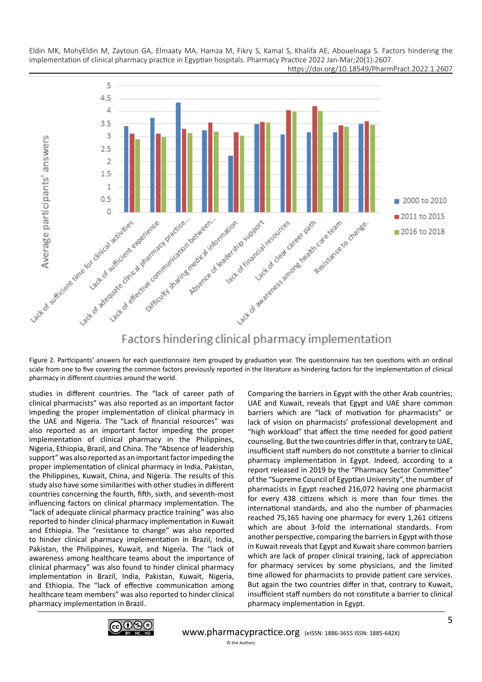

https://doi.org/10.18549/PharmPract.2022.1.2607

Factors hindering clinical pharmacy implementation

Figure 2. Participants' answers for each questionnaire item grouped by graduation year. The questionnaire has ten questions with an ordinal scale from one to five covering the common factors previously reported in the literature as hindering factors for the implementation of clinical pharmacy in different countries around the world.

studies in different countries. The "lack of career path of clinical pharmacists" was also reported as an important factor impeding the proper implementation of clinical pharmacy in the UAE and Nigeria. The "Lack of financial resources" was also reported as an important factor impeding the proper implementation of clinical pharmacy in the Philippines, Nigeria, Ethiopia, Brazil, and China. The "Absence of leadership support" was also reported as an important factor impeding the proper implementation of clinical pharmacy in India, Pakistan, the Philippines, Kuwait, China, and Nigeria. The results of this study also have some similarities with other studies in different countries concerning the fourth, fifth, sixth, and seventh-most influencing factors on clinical pharmacy implementation. The "lack of adequate clinical pharmacy practice training" was also reported to hinder clinical pharmacy implementation in Kuwait and Ethiopia. The "resistance to change" was also reported to hinder clinical pharmacy implementation in Brazil, India, Pakistan, the Philippines, Kuwait, and Nigeria. The "lack of awareness among healthcare teams about the importance of clinical pharmacy" was also found to hinder clinical pharmacy implementation in Brazil, India, Pakistan, Kuwait, Nigeria, and Ethiopia. The "lack of effective communication among healthcare team members" was also reported to hinder clinical pharmacy implementation in Brazil.

Comparing the barriers in Egypt with the other Arab countries; UAE and Kuwait, reveals that Egypt and UAE share common barriers which are "lack of motivation for pharmacists" or lack of vision on pharmacists' professional development and "high workload" that affect the time needed for good patient counseling. But the two countries differ in that, contrary to UAE, insufficient staff numbers do not constitute a barrier to clinical pharmacy implementation in Egypt. Indeed, according to a report released in 2019 by the "Pharmacy Sector Committee" of the "Supreme Council of Egyptian University", the number of pharmacists in Egypt reached 216,072 having one pharmacist for every 438 citizens which is more than four times the international standards, and also the number of pharmacies reached 75,165 having one pharmacy for every 1,261 citizens which are about 3-fold the international standards. From another perspective, comparing the barriers in Egypt with those in Kuwait reveals that Egypt and Kuwait share common barriers which are lack of proper clinical training, lack of appreciation for pharmacy services by some physicians, and the limited time allowed for pharmacists to provide patient care services. But again the two countries differ in that, contrary to Kuwait, insufficient staff numbers do not constitute a barrier to clinical pharmacy implementation in Egypt.

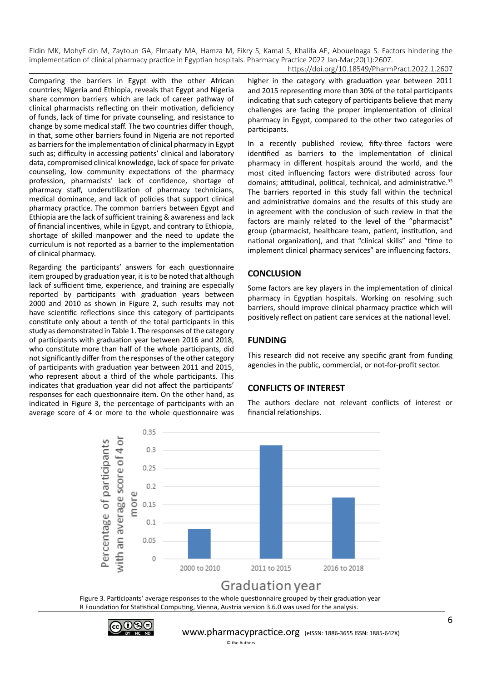Comparing the barriers in Egypt with the other African countries; Nigeria and Ethiopia, reveals that Egypt and Nigeria share common barriers which are lack of career pathway of clinical pharmacists reflecting on their motivation, deficiency of funds, lack of time for private counseling, and resistance to change by some medical staff. The two countries differ though, in that, some other barriers found in Nigeria are not reported as barriers for the implementation of clinical pharmacy in Egypt such as; difficulty in accessing patients' clinical and laboratory data, compromised clinical knowledge, lack of space for private counseling, low community expectations of the pharmacy profession, pharmacists' lack of confidence, shortage of pharmacy staff, underutilization of pharmacy technicians, medical dominance, and lack of policies that support clinical pharmacy practice. The common barriers between Egypt and Ethiopia are the lack of sufficient training & awareness and lack

of financial incentives, while in Egypt, and contrary to Ethiopia, shortage of skilled manpower and the need to update the curriculum is not reported as a barrier to the implementation of clinical pharmacy. Regarding the participants' answers for each questionnaire

item grouped by graduation year, it is to be noted that although lack of sufficient time, experience, and training are especially reported by participants with graduation years between 2000 and 2010 as shown in Figure 2, such results may not have scientific reflections since this category of participants constitute only about a tenth of the total participants in this study as demonstrated in Table 1. The responses of the category of participants with graduation year between 2016 and 2018, who constitute more than half of the whole participants, did not significantly differ from the responses of the other category of participants with graduation year between 2011 and 2015, who represent about a third of the whole participants. This indicates that graduation year did not affect the participants' responses for each questionnaire item. On the other hand, as indicated in Figure 3, the percentage of participants with an average score of 4 or more to the whole questionnaire was higher in the category with graduation year between 2011 and 2015 representing more than 30% of the total participants indicating that such category of participants believe that many challenges are facing the proper implementation of clinical pharmacy in Egypt, compared to the other two categories of participants.

In a recently published review, fifty-three factors were identified as barriers to the implementation of clinical pharmacy in different hospitals around the world, and the most cited influencing factors were distributed across four domains; attitudinal, political, technical, and administrative.<sup>33</sup> The barriers reported in this study fall within the technical and administrative domains and the results of this study are in agreement with the conclusion of such review in that the factors are mainly related to the level of the "pharmacist" group (pharmacist, healthcare team, patient, institution, and national organization), and that "clinical skills" and "time to implement clinical pharmacy services" are influencing factors.

#### **CONCLUSION**

Some factors are key players in the implementation of clinical pharmacy in Egyptian hospitals. Working on resolving such barriers, should improve clinical pharmacy practice which will positively reflect on patient care services at the national level.

### **FUNDING**

This research did not receive any specific grant from funding agencies in the public, commercial, or not-for-profit sector.

#### **CONFLICTS OF INTEREST**

The authors declare not relevant conflicts of interest or financial relationships.



Figure 3. Participants' average responses to the whole questionnaire grouped by their graduation year R Foundation for Statistical Computing, Vienna, Austria version 3.6.0 was used for the analysis.

© the Authors

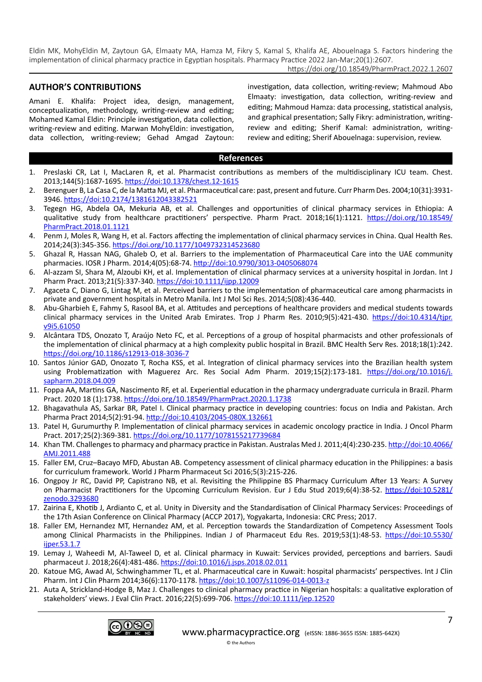#### https://doi.org/10.18549/PharmPract.2022.1.2607

#### **AUTHOR'S CONTRIBUTIONS**

Amani E. Khalifa: Project idea, design, management, conceptualization, methodology, writing-review and editing; Mohamed Kamal Eldin: Principle investigation, data collection, writing-review and editing. Marwan MohyEldin: investigation, data collection, writing-review; Gehad Amgad Zaytoun: investigation, data collection, writing-review; Mahmoud Abo Elmaaty: investigation, data collection, writing-review and editing; Mahmoud Hamza: data processing, statistical analysis, and graphical presentation; Sally Fikry: administration, writingreview and editing; Sherif Kamal: administration, writingreview and editing; Sherif Abouelnaga: supervision, review.

#### **References**

- 1. Preslaski CR, Lat I, MacLaren R, et al. Pharmacist contributions as members of the multidisciplinary ICU team. Chest. 2013;144(5):1687-1695.<https://doi:10.1378/chest.12-1615>
- 2. Berenguer B, La Casa C, de la Matta MJ, et al. Pharmaceutical care: past, present and future. Curr Pharm Des. 2004;10(31):3931- 3946.<https://doi:10.2174/1381612043382521>
- 3. Tegegn HG, Abdela OA, Mekuria AB, et al. Challenges and opportunities of clinical pharmacy services in Ethiopia: A qualitative study from healthcare practitioners' perspective. Pharm Pract. 2018;16(1):1121. [https://doi.org/10.18549/](https://doi.org/10.18549/PharmPract.2018.01.1121) [PharmPract.2018.01.1121](https://doi.org/10.18549/PharmPract.2018.01.1121)
- 4. Penm J, Moles R, Wang H, et al. Factors affecting the implementation of clinical pharmacy services in China. Qual Health Res. 2014;24(3):345-356.<https://doi.org/10.1177/1049732314523680>
- 5. Ghazal R, Hassan NAG, Ghaleb O, et al. Barriers to the implementation of Pharmaceutical Care into the UAE community pharmacies. IOSR J Pharm. 2014;4(05):68-74.<http://doi:10.9790/3013-0405068074>
- 6. Al-azzam SI, Shara M, Alzoubi KH, et al. Implementation of clinical pharmacy services at a university hospital in Jordan. Int J Pharm Pract. 2013;21(5):337-340. <https://doi:10.1111/ijpp.12009>
- 7. Agaceta C, Diano G, Lintag M, et al. Perceived barriers to the implementation of pharmaceutical care among pharmacists in private and government hospitals in Metro Manila. Int J Mol Sci Res. 2014;5(08):436-440.
- 8. Abu-Gharbieh E, Fahmy S, Rasool BA, et al. Attitudes and perceptions of healthcare providers and medical students towards clinical pharmacy services in the United Arab Emirates. Trop J Pharm Res. 2010;9(5):421-430. [https://doi:10.4314/tjpr.](https://doi:10.4314/tjpr.v9i5.61050) [v9i5.61050](https://doi:10.4314/tjpr.v9i5.61050)
- 9. Alcântara TDS, Onozato T, Araújo Neto FC, et al. Perceptions of a group of hospital pharmacists and other professionals of the implementation of clinical pharmacy at a high complexity public hospital in Brazil. BMC Health Serv Res. 2018;18(1):242. <https://doi.org/10.1186/s12913-018-3036-7>
- 10. Santos Júnior GAD, Onozato T, Rocha KSS, et al. Integration of clinical pharmacy services into the Brazilian health system using Problematization with Maguerez Arc. Res Social Adm Pharm. 2019;15(2):173-181. [https://doi.org/10.1016/j.](https://doi.org/10.1016/j.sapharm.2018.04.009) [sapharm.2018.04.009](https://doi.org/10.1016/j.sapharm.2018.04.009)
- 11. Foppa AA, Martins GA, Nascimento RF, et al. Experiential education in the pharmacy undergraduate curricula in Brazil. Pharm Pract. 2020 18 (1):1738.<https://doi.org/10.18549/PharmPract.2020.1.1738>
- 12. Bhagavathula AS, Sarkar BR, Patel I. Clinical pharmacy practice in developing countries: focus on India and Pakistan. Arch Pharma Pract 2014;5(2):91-94. <http://doi:10.4103/2045-080X.132661>
- 13. Patel H, Gurumurthy P. Implementation of clinical pharmacy services in academic oncology practice in India. J Oncol Pharm Pract. 2017;25(2):369-381. <https://doi.org/10.1177/1078155217739684>
- 14. Khan TM. Challenges to pharmacy and pharmacy practice in Pakistan. Australas Med J. 2011;4(4):230-235. [http://doi:10.4066/](http://doi:10.4066/AMJ.2011.488) [AMJ.2011.488](http://doi:10.4066/AMJ.2011.488)
- 15. Faller EM, Cruz–Bacayo MFD, Abustan AB. Competency assessment of clinical pharmacy education in the Philippines: a basis for curriculum framework. World J Pharm Pharmaceut Sci 2016;5(3):215-226.
- 16. Ongpoy Jr RC, David PP, Capistrano NB, et al. Revisiting the Philippine BS Pharmacy Curriculum After 13 Years: A Survey on Pharmacist Practitioners for the Upcoming Curriculum Revision. Eur J Edu Stud 2019;6(4):38-52. [https://doi:10.5281/](https://doi:10.5281/zenodo.3293680) [zenodo.3293680](https://doi:10.5281/zenodo.3293680)
- 17. Zairina E, Khotib J, Ardianto C, et al. Unity in Diversity and the Standardisation of Clinical Pharmacy Services: Proceedings of the 17th Asian Conference on Clinical Pharmacy (ACCP 2017), Yogyakarta, Indonesia: CRC Press; 2017.
- 18. Faller EM, Hernandez MT, Hernandez AM, et al. Perception towards the Standardization of Competency Assessment Tools among Clinical Pharmacists in the Philippines. Indian J of Pharmaceut Edu Res. 2019;53(1):48-53. [https://doi:10.5530/](https://doi:10.5530/ijper.53.1.7) [ijper.53.1.7](https://doi:10.5530/ijper.53.1.7)
- 19. Lemay J, Waheedi M, Al-Taweel D, et al. Clinical pharmacy in Kuwait: Services provided, perceptions and barriers. Saudi pharmaceut J. 2018;26(4):481-486. <https://doi:10.1016/j.jsps.2018.02.011>
- 20. Katoue MG, Awad AI, Schwinghammer TL, et al. Pharmaceutical care in Kuwait: hospital pharmacists' perspectives. Int J Clin Pharm. Int J Clin Pharm 2014;36(6):1170-1178. <https://doi:10.1007/s11096-014-0013-z>
- 21. Auta A, Strickland-Hodge B, Maz J. Challenges to clinical pharmacy practice in Nigerian hospitals: a qualitative exploration of stakeholders' views. J Eval Clin Pract. 2016;22(5):699-706. <https://doi:10.1111/jep.12520>